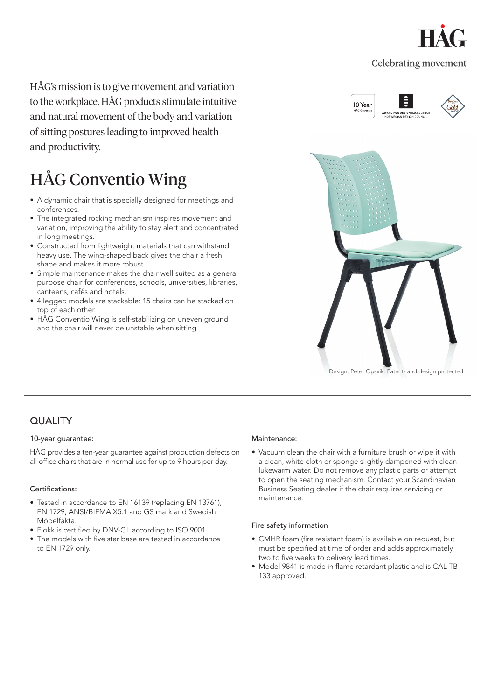

### **Celebrating movement**

HÅG's mission is to give movement and variation to the workplace. HÅG products stimulate intuitive and natural movement of the body and variation of sitting postures leading to improved health and productivity.

# HÅG Conventio Wing

- A dynamic chair that is specially designed for meetings and conferences.
- The integrated rocking mechanism inspires movement and variation, improving the ability to stay alert and concentrated in long meetings.
- Constructed from lightweight materials that can withstand heavy use. The wing-shaped back gives the chair a fresh shape and makes it more robust.
- Simple maintenance makes the chair well suited as a general purpose chair for conferences, schools, universities, libraries, canteens, cafés and hotels.
- 4 legged models are stackable: 15 chairs can be stacked on top of each other.
- HÅG Conventio Wing is self-stabilizing on uneven ground and the chair will never be unstable when sitting



Design: Peter Opsvik. Patent- and design protected.

## **QUALITY**

#### 10-year guarantee:

HÅG provides a ten-year guarantee against production defects on all office chairs that are in normal use for up to 9 hours per day.

#### Certifications:

- Tested in accordance to EN 16139 (replacing EN 13761), EN 1729, ANSI/BIFMA X5.1 and GS mark and Swedish Möbelfakta.
- Flokk is certified by DNV-GL according to ISO 9001.
- The models with five star base are tested in accordance to EN 1729 only.

#### Maintenance:

• Vacuum clean the chair with a furniture brush or wipe it with a clean, white cloth or sponge slightly dampened with clean lukewarm water. Do not remove any plastic parts or attempt to open the seating mechanism. Contact your Scandinavian Business Seating dealer if the chair requires servicing or maintenance.

#### Fire safety information

- CMHR foam (fire resistant foam) is available on request, but must be specified at time of order and adds approximately two to five weeks to delivery lead times.
- Model 9841 is made in flame retardant plastic and is CAL TB 133 approved.